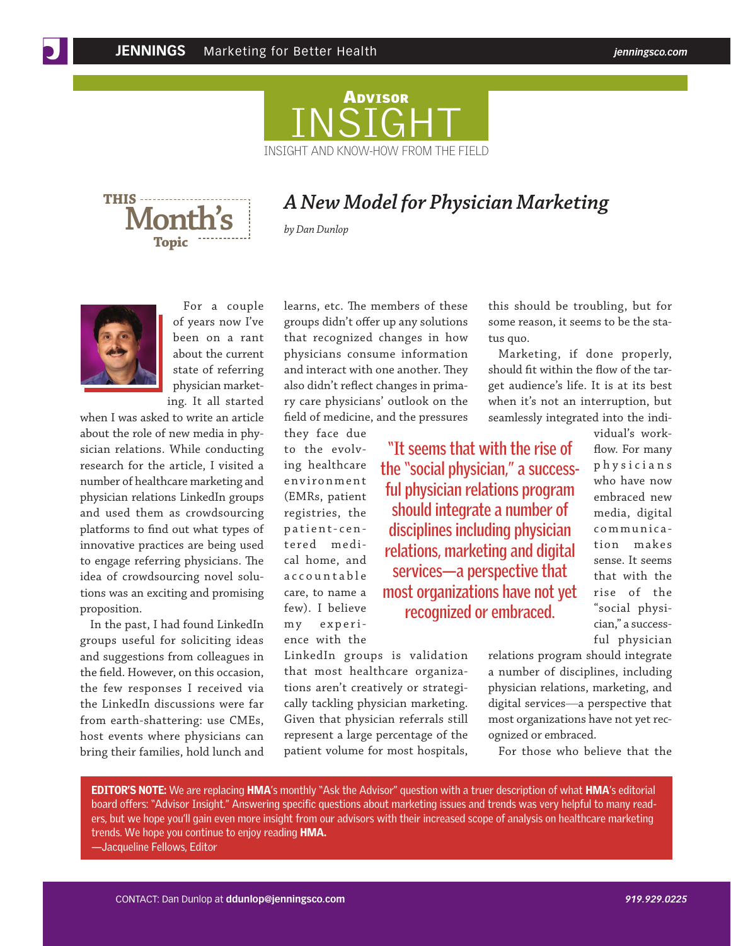

**Month's THIS Topic**

## *A New Model for Physician Marketing*

**"It seems that with the rise of the "social physician," a successful physician relations program should integrate a number of disciplines including physician relations, marketing and digital services—a perspective that most organizations have not yet recognized or embraced.**

*by Dan Dunlop*



For a couple of years now I've been on a rant about the current state of referring physician marketing. It all started

when I was asked to write an article about the role of new media in physician relations. While conducting research for the article, I visited a number of healthcare marketing and physician relations LinkedIn groups and used them as crowdsourcing platforms to find out what types of innovative practices are being used to engage referring physicians. The idea of crowdsourcing novel solutions was an exciting and promising proposition.

In the past, I had found LinkedIn groups useful for soliciting ideas and suggestions from colleagues in the field. However, on this occasion, the few responses I received via the LinkedIn discussions were far from earth-shattering: use CMEs, host events where physicians can bring their families, hold lunch and learns, etc. The members of these groups didn't offer up any solutions that recognized changes in how physicians consume information and interact with one another. They also didn't reflect changes in primary care physicians' outlook on the field of medicine, and the pressures

they face due to the evolving healthcare e n v i r o n m e n t (EMRs, patient registries, the patient-cen tered medical home, and a c c o u n t a b l e care, to name a few). I believe my experience with the

LinkedIn groups is validation that most healthcare organizations aren't creatively or strategically tackling physician marketing. Given that physician referrals still represent a large percentage of the patient volume for most hospitals, this should be troubling, but for some reason, it seems to be the status quo.

Marketing, if done properly, should fit within the flow of the target audience's life. It is at its best when it's not an interruption, but seamlessly integrated into the indi-

> vidual's workflow. For many p h y s i c i a n s who have now embraced new media, digital communica tion makes sense. It seems that with the rise of the "social physician," a successful physician

relations program should integrate a number of disciplines, including physician relations, marketing, and digital services—a perspective that most organizations have not yet recognized or embraced.

For those who believe that the

EDITOR'S NOTE: We are replacing HMA's monthly "Ask the Advisor" question with a truer description of what HMA's editorial board offers: "Advisor Insight." Answering specific questions about marketing issues and trends was very helpful to many readers, but we hope you'll gain even more insight from our advisors with their increased scope of analysis on healthcare marketing trends. We hope you continue to enjoy reading HMA.

—Jacqueline Fellows, Editor